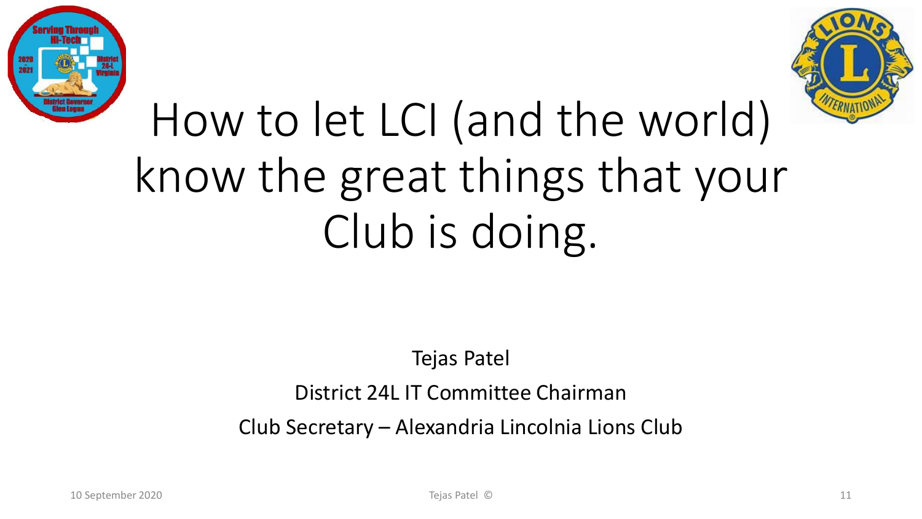



# How to let LCI (and the world) know the great things that your Club is doing.

Tejas Patel

District 24L IT Committee Chairman

Club Secretary – Alexandria Lincolnia Lions Club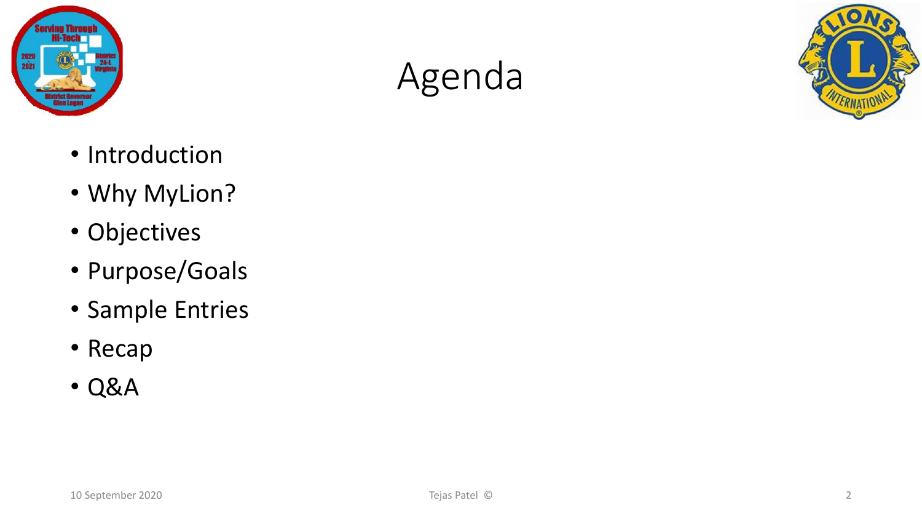

### Agenda



- Introduction
- Why MyLion?
- Objectives
- Purpose/Goals
- Sample Entries
- Recap
- Q&A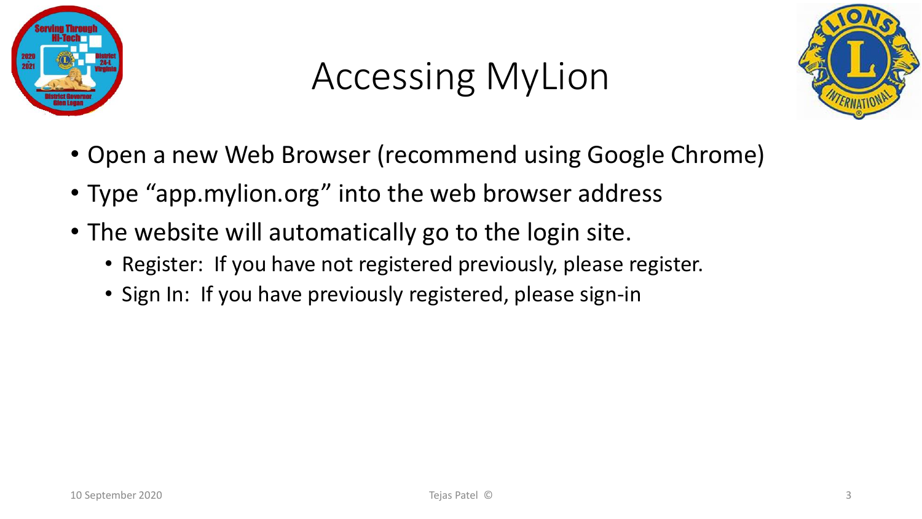

## Accessing MyLion



- Open a new Web Browser (recommend using Google Chrome)
- Type "app.mylion.org" into the web browser address
- The website will automatically go to the login site.
	- Register: If you have not registered previously, please register.
	- Sign In: If you have previously registered, please sign-in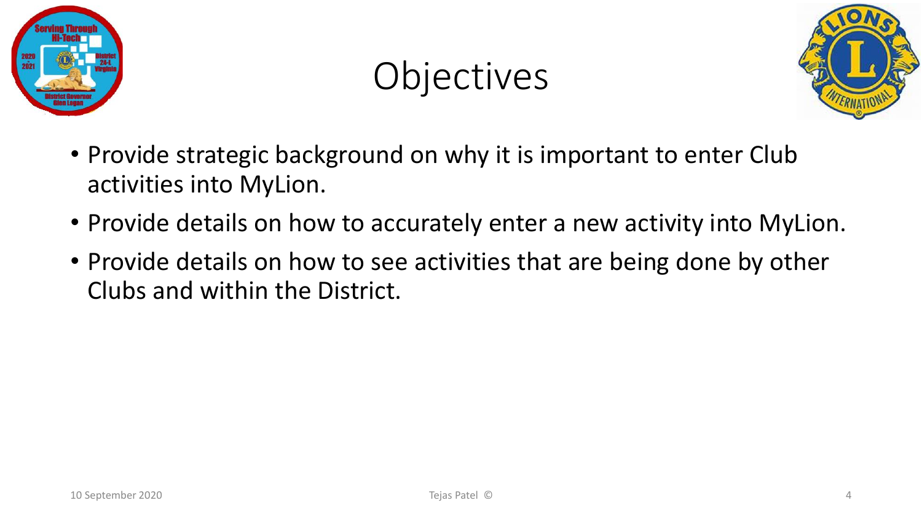

## Objectives



- Provide strategic background on why it is important to enter Club activities into MyLion.
- Provide details on how to accurately enter a new activity into MyLion.
- Provide details on how to see activities that are being done by other Clubs and within the District.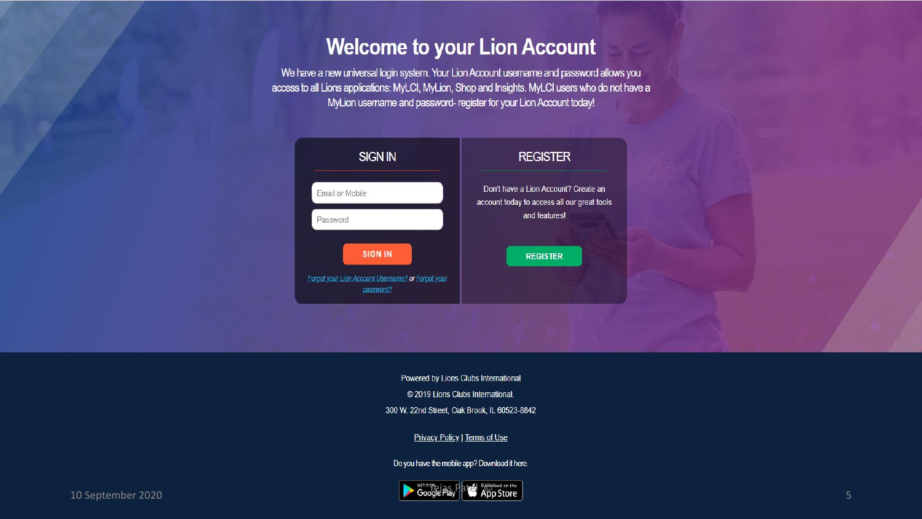### **Welcome to your Lion Account**

We have a new universal login system. Your Lion Account usemame and password allows you access to all Lions applications: MyLCI, MyLion, Shop and Insights. MyLCI users who do not have a MyLion username and password- register for your Lion Account today!



Powered by Lions Clubs International © 2019 Lions Clubs International. 300 W. 22nd Street, Oak Brook, IL 60523-8842

Privacy Policy | Terms of Use

Do you have the mobile app? Download it here.

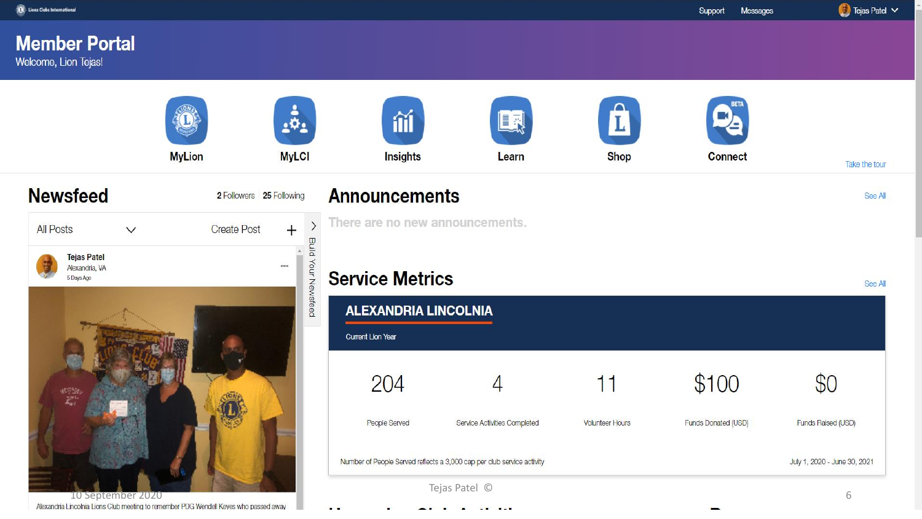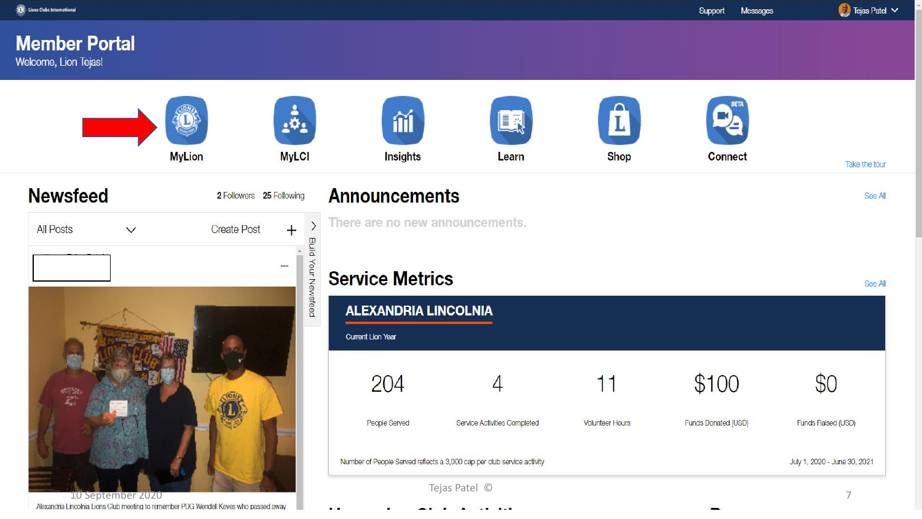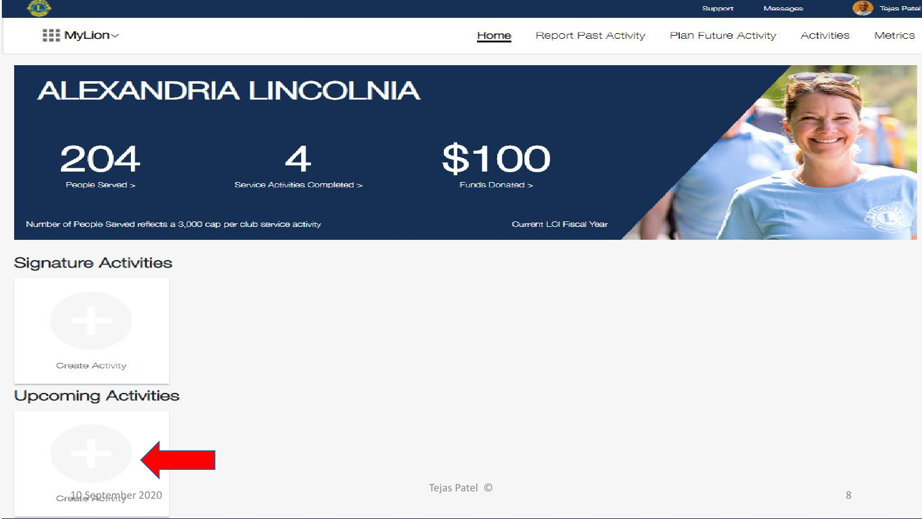

Plan Future Activity



**Metrics** 

**Activities** 

### **ALEXANDRIA LINCOLNIA**

204

People Served >

Service Activities Completed >



Funds Donated >

Home

Number of People Served reflects a 3,000 cap per club service activity

Current LCI Fiscal Year

Report Past Activity

### **Signature Activities**



### **Upcoming Activities**

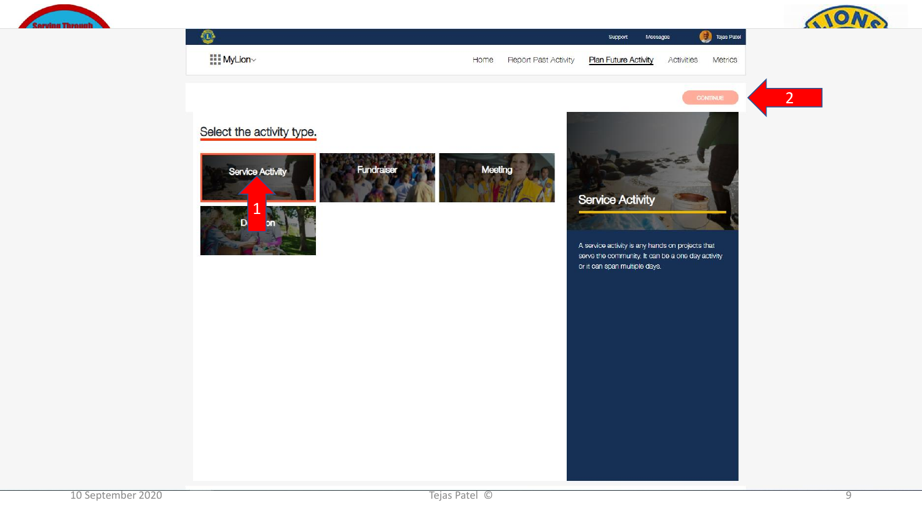

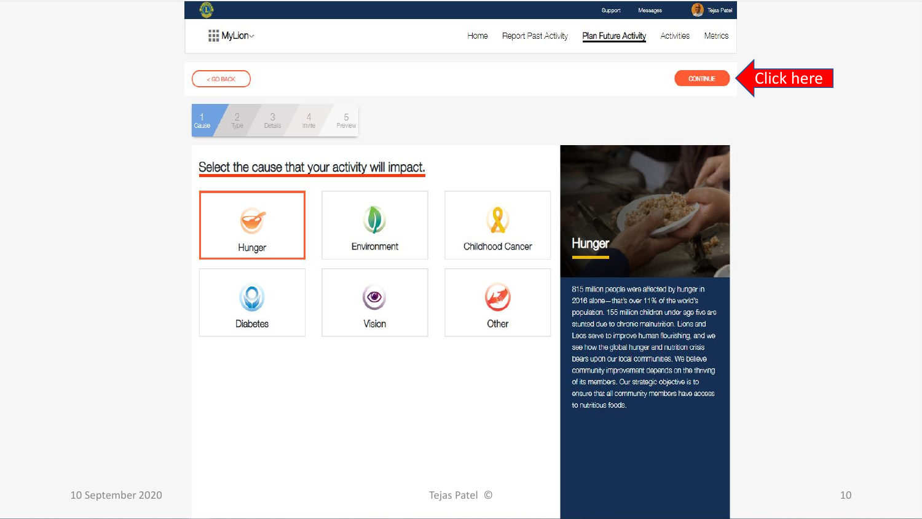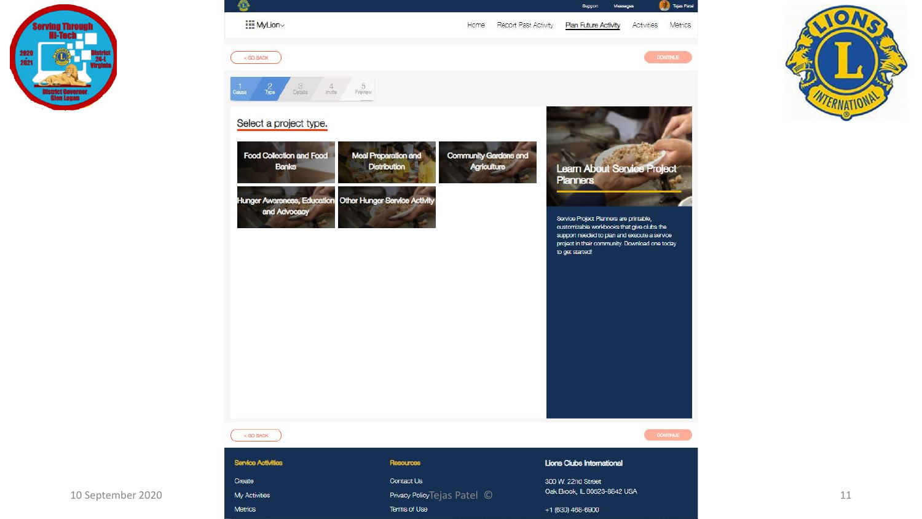



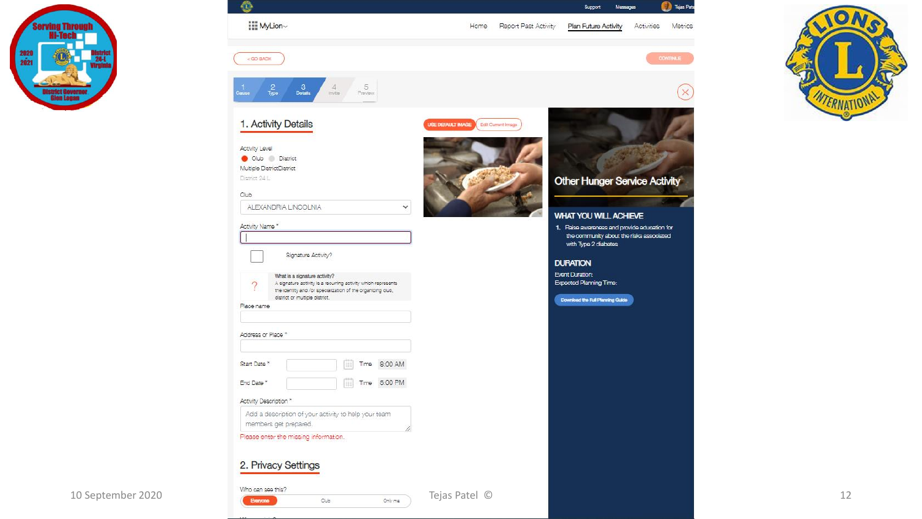

| ⊕                   |                                                                                                                                                                            |                                                | Support<br>Messages                                                                      | Tejas Pata            |          |
|---------------------|----------------------------------------------------------------------------------------------------------------------------------------------------------------------------|------------------------------------------------|------------------------------------------------------------------------------------------|-----------------------|----------|
| hrough              | $\prod_{i=1}^{n+1}$ MyLion $\sim$                                                                                                                                          | Report Past Activity<br>Home                   | Plan Future Activity                                                                     | Activities<br>Metrics | 1.10     |
| 淵                   | $<$ GO BACK                                                                                                                                                                |                                                |                                                                                          | <b>CONTINUE</b>       |          |
| $\frac{1}{2}$ Cause | $\frac{2}{\text{Type}}$<br>$3\atop\text{Dstants}$<br>$\frac{5}{P}$<br>invite                                                                                               |                                                |                                                                                          | $\times$              | INTERNAT |
|                     | 1. Activity Details                                                                                                                                                        | <b>USE DEFAULT IMAGE</b><br>Edit Current Image |                                                                                          |                       |          |
|                     | Activity Level                                                                                                                                                             |                                                |                                                                                          |                       |          |
|                     | Club District<br>Multiple DistrictDistrict                                                                                                                                 |                                                |                                                                                          |                       |          |
|                     | District 24 L                                                                                                                                                              |                                                | <b>Other Hunger Service Activity</b>                                                     |                       |          |
| Club                | ALEXANDRIA LINCOLNIA                                                                                                                                                       |                                                |                                                                                          |                       |          |
|                     | $\checkmark$                                                                                                                                                               |                                                | WHAT YOU WILL ACHIEVE                                                                    |                       |          |
|                     | Activity Name *                                                                                                                                                            |                                                | 1. Raise awareness and provide education for<br>the community about the risks associated |                       |          |
|                     |                                                                                                                                                                            |                                                | with Type 2 diabetes                                                                     |                       |          |
|                     | Signature Activity?                                                                                                                                                        |                                                | <b>DURATION</b>                                                                          |                       |          |
|                     | What is a signature activity?                                                                                                                                              |                                                | <b>Event Duration:</b><br><b>Expected Planning Time:</b>                                 |                       |          |
|                     | A signature activity is a recurring activity which represents<br>$\Omega$<br>the identity and /or specialization of the organizing olub,<br>district or multiple district. |                                                |                                                                                          |                       |          |
|                     | Place name                                                                                                                                                                 |                                                | Download the Full Planning Guide                                                         |                       |          |
|                     |                                                                                                                                                                            |                                                |                                                                                          |                       |          |
|                     | Address or Place *                                                                                                                                                         |                                                |                                                                                          |                       |          |
|                     |                                                                                                                                                                            |                                                |                                                                                          |                       |          |
|                     | Time 8:00 AM<br>Start Date *                                                                                                                                               |                                                |                                                                                          |                       |          |
|                     | $\boxed{iii}$ Time 5:00 PM<br>End Date *                                                                                                                                   |                                                |                                                                                          |                       |          |
|                     | Activity Description *                                                                                                                                                     |                                                |                                                                                          |                       |          |
|                     | Add a description of your activity to help your team<br>members get prepared.                                                                                              |                                                |                                                                                          |                       |          |
|                     | Please enter the missing information.                                                                                                                                      |                                                |                                                                                          |                       |          |
|                     |                                                                                                                                                                            |                                                |                                                                                          |                       |          |
|                     | 2. Privacy Settings                                                                                                                                                        |                                                |                                                                                          |                       |          |
| 10 September 2020   | Who can see this?                                                                                                                                                          | Tejas Patel ©                                  |                                                                                          |                       |          |

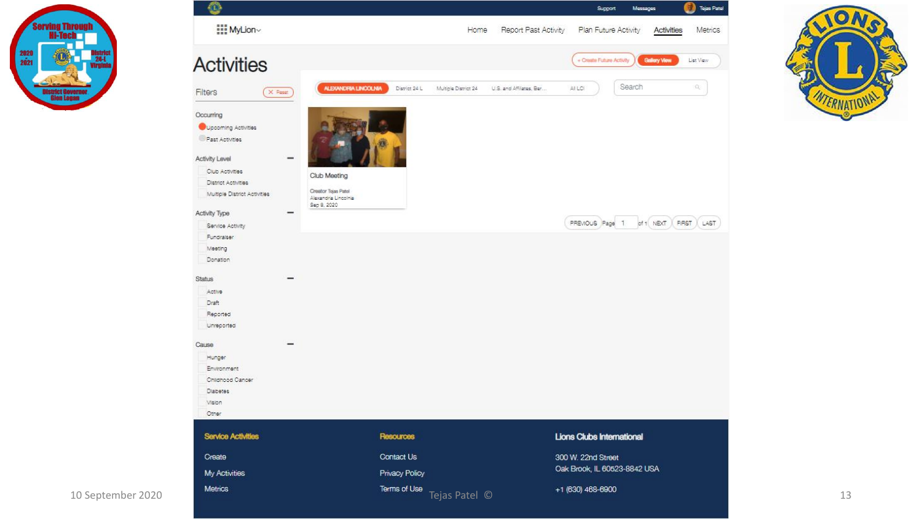



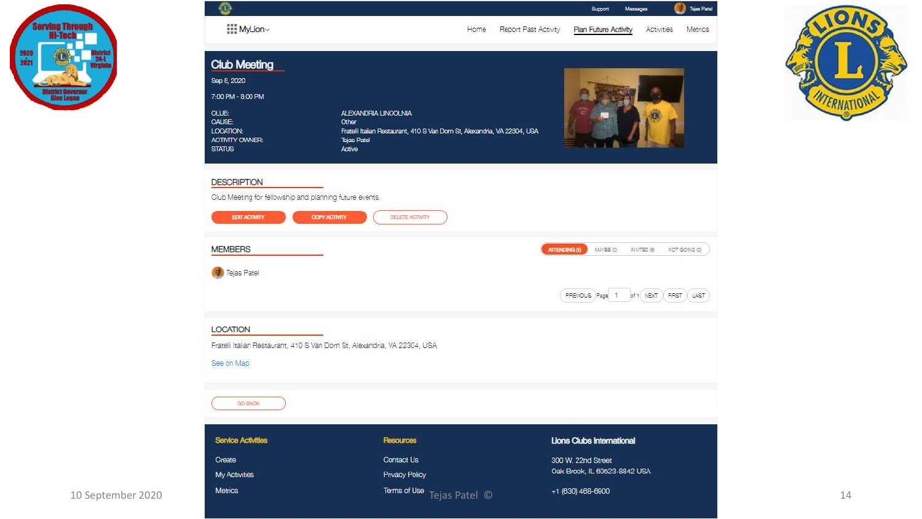



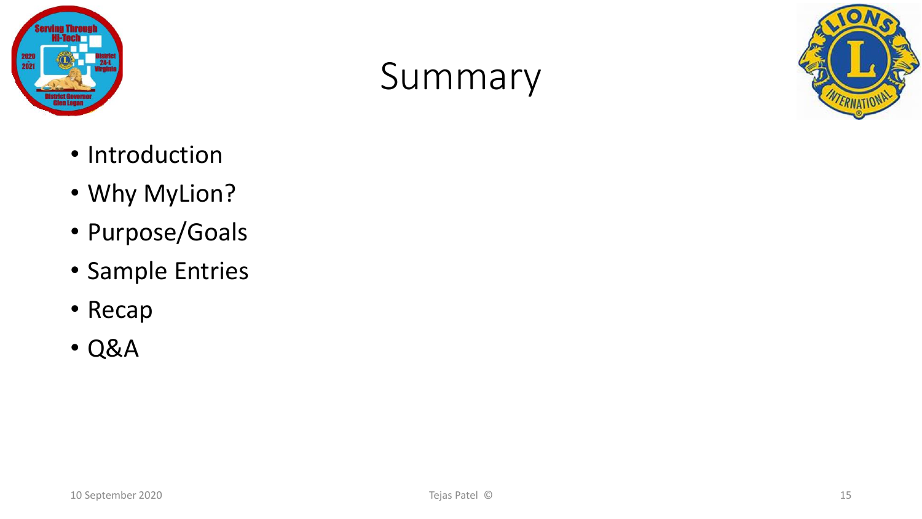

### Summary



- Introduction
- Why MyLion?
- Purpose/Goals
- Sample Entries
- Recap
- Q&A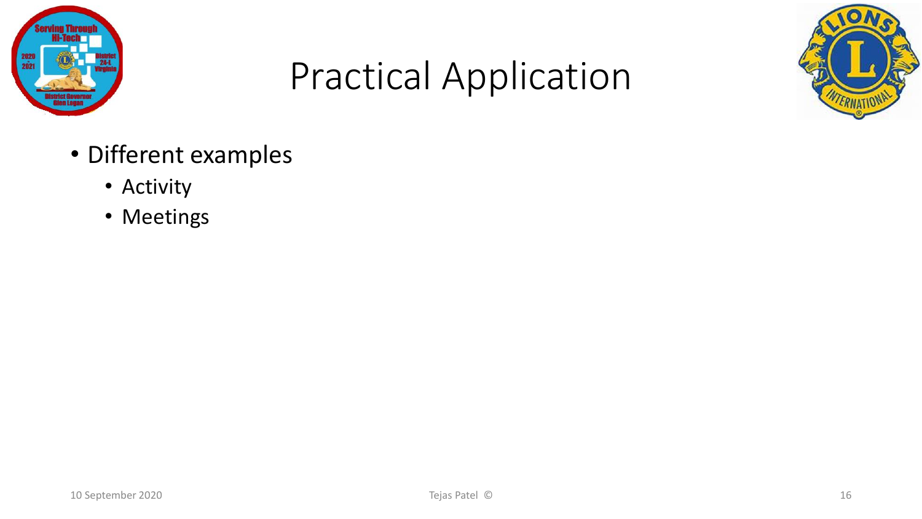

## Practical Application



- Different examples
	- Activity
	- Meetings